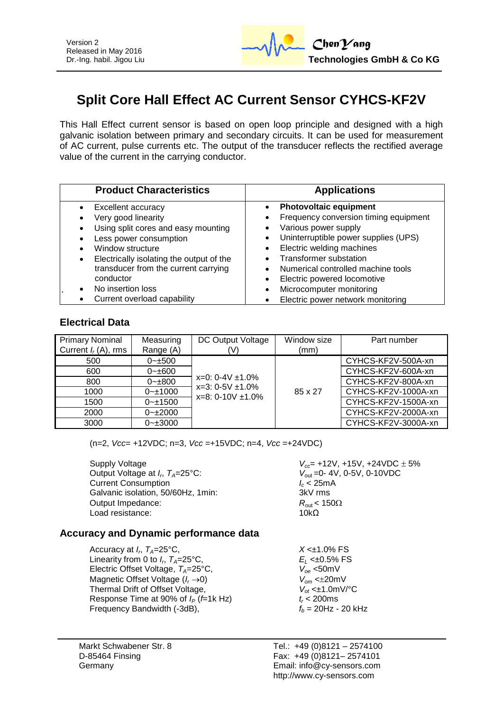

# **Split Core Hall Effect AC Current Sensor CYHCS-KF2V**

This Hall Effect current sensor is based on open loop principle and designed with a high galvanic isolation between primary and secondary circuits. It can be used for measurement of AC current, pulse currents etc. The output of the transducer reflects the rectified average value of the current in the carrying conductor.

| <b>Product Characteristics</b>                                                                                                                                                                                                                                    | <b>Applications</b>                                                                                                                                                                                                                                                                                                                          |  |  |
|-------------------------------------------------------------------------------------------------------------------------------------------------------------------------------------------------------------------------------------------------------------------|----------------------------------------------------------------------------------------------------------------------------------------------------------------------------------------------------------------------------------------------------------------------------------------------------------------------------------------------|--|--|
| Excellent accuracy<br>Very good linearity<br>Using split cores and easy mounting<br>Less power consumption<br>Window structure<br>Electrically isolating the output of the<br>$\bullet$<br>transducer from the current carrying<br>conductor<br>No insertion loss | <b>Photovoltaic equipment</b><br>Frequency conversion timing equipment<br>Various power supply<br>Uninterruptible power supplies (UPS)<br>$\bullet$<br>Electric welding machines<br>$\bullet$<br><b>Transformer substation</b><br>Numerical controlled machine tools<br>Electric powered locomotive<br>Microcomputer monitoring<br>$\bullet$ |  |  |
| Current overload capability                                                                                                                                                                                                                                       | Electric power network monitoring                                                                                                                                                                                                                                                                                                            |  |  |

#### **Electrical Data**

| <b>Primary Nominal</b><br>Current $I_r(A)$ , rms | Measuring<br>Range (A) | DC Output Voltage<br>(V)                                                   | Window size<br>(mm) | Part number         |
|--------------------------------------------------|------------------------|----------------------------------------------------------------------------|---------------------|---------------------|
| 500                                              | $0 - 500$              |                                                                            |                     | CYHCS-KF2V-500A-xn  |
| 600                                              | $0 - \pm 600$          | $x=0$ : 0-4V $\pm$ 1.0%<br>$x=3: 0-5V \pm 1.0\%$<br>$x=8: 0-10V \pm 1.0\%$ |                     | CYHCS-KF2V-600A-xn  |
| 800                                              | $0 - \pm 800$          |                                                                            | 85 x 27             | CYHCS-KF2V-800A-xn  |
| 1000                                             | $0 - 1000$             |                                                                            |                     | CYHCS-KF2V-1000A-xn |
| 1500                                             | $0 - 1500$             |                                                                            |                     | CYHCS-KF2V-1500A-xn |
| 2000                                             | $0 - 2000$             |                                                                            |                     | CYHCS-KF2V-2000A-xn |
| 3000                                             | $0 - \pm 3000$         |                                                                            |                     | CYHCS-KF2V-3000A-xn |

(n=2, *Vcc*= +12VDC; n=3, *Vcc* =+15VDC; n=4, *Vcc* =+24VDC)

Supply Voltage *V<sub>cc</sub>* = +12V, +15V, +24VDC ± 5% Output Voltage at *I<sub>p</sub>*,  $T_A=25^{\circ}$ C: Current Consumption<br>Galvanic isolation, 50/60Hz, 1min:<br>3kV rms Galvanic isolation, 50/60Hz, 1min:  $3kV$  rms<br>Output Impedance:  $R_{out} < 150\Omega$ Output Impedance: *R*<sub>out</sub> < 10kO<br>
Load resistance: 10kO Load resistance:

*V*<sub>out</sub> = 0-4V, 0-5V, 0-10VDC<br>*I<sub>c</sub>* < 25mA

## **Accuracy and Dynamic performance data**

Accuracy at *I<sub>p</sub>*,  $T_A=25^{\circ}C$ , Linearity from 0 to  $I_{r}$ ,  $T_{4}=25^{\circ}$ C, Electric Offset Voltage, *T<sub>A</sub>*=25°C,  $V_{oe}$ <50mV<br>Magnetic Offset Voltage ( $I_r \rightarrow 0$ )  $V_{om}$  <±20mV Magnetic Offset Voltage ( $I_r \rightarrow 0$ )  $V_{om} < \pm 20$ mV<br>Thermal Drift of Offset Voltage,  $V_{of} < \pm 1.0$ mV/°C Thermal Drift of Offset Voltage,  $V_{ot} \leq \pm 1.0$ m<br>Response Time at 90% of  $I_P$  (*f*=1k Hz)  $t_r < 200$ ms Response Time at 90% of  $I_P$  (*f*=1k Hz)  $t_r$  < 200ms<br>Frequency Bandwidth (-3dB),  $f_h$  = 20Hz - 20 kHz Frequency Bandwidth (-3dB),

 $X < \pm 1.0\%$  FS , *TA*=25°C, *E<sup>L</sup>* <±0.5% FS